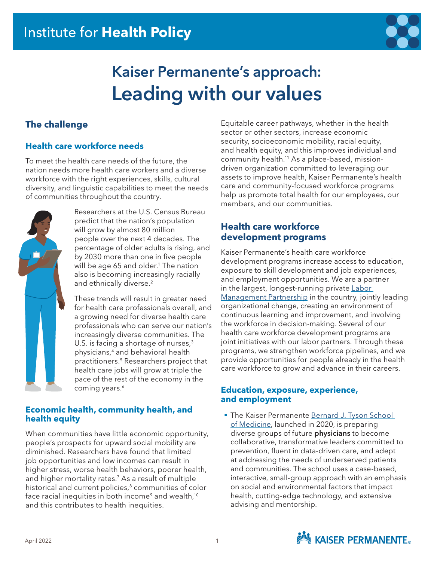

# **Kaiser Permanente's approach: Leading with our values**

# **The challenge**

## **Health care workforce needs**

To meet the health care needs of the future, the nation needs more health care workers and a diverse workforce with the right experiences, skills, cultural diversity, and linguistic capabilities to meet the needs of communities throughout the country.



Researchers at the U.S. Census Bureau predict that the nation's population will grow by almost 80 million people over the next 4 decades. The percentage of older adults is rising, and by 2030 more than one in five people will be age 65 and older.<sup>1</sup> The nation also is becoming increasingly racially and ethnically diverse.<sup>2</sup>

These trends will result in greater need for health care professionals overall, and a growing need for diverse health care professionals who can serve our nation's increasingly diverse communities. The U.S. is facing a shortage of nurses,<sup>3</sup> physicians,4 and behavioral health practitioners.5 Researchers project that health care jobs will grow at triple the pace of the rest of the economy in the coming years.<sup>6</sup>

#### **Economic health, community health, and health equity**

When communities have little economic opportunity, people's prospects for upward social mobility are diminished. Researchers have found that limited job opportunities and low incomes can result in higher stress, worse health behaviors, poorer health, and higher mortality rates.<sup>7</sup> As a result of multiple historical and current policies,<sup>8</sup> communities of color face racial inequities in both income<sup>9</sup> and wealth,<sup>10</sup> and this contributes to health inequities.

Equitable career pathways, whether in the health sector or other sectors, increase economic security, socioeconomic mobility, racial equity, and health equity, and this improves individual and community health.11 As a place-based, missiondriven organization committed to leveraging our assets to improve health, Kaiser Permanente's health care and community-focused workforce programs help us promote total health for our employees, our members, and our communities.

## **Health care workforce development programs**

Kaiser Permanente's health care workforce development programs increase access to education, exposure to skill development and job experiences, and employment opportunities. We are a partner in the largest, longest-running private Labor [Management Partnership](https://www.lmpartnership.org/) in the country, jointly leading organizational change, creating an environment of continuous learning and improvement, and involving the workforce in decision-making. Several of our health care workforce development programs are joint initiatives with our labor partners. Through these programs, we strengthen workforce pipelines, and we provide opportunities for people already in the health care workforce to grow and advance in their careers.

#### **Education, exposure, experience, and employment**

**The Kaiser Permanente Bernard J. Tyson School** [of Medicine](https://medschool.kp.org/homepage), launched in 2020, is preparing diverse groups of future **physicians** to become collaborative, transformative leaders committed to prevention, fluent in data-driven care, and adept at addressing the needs of underserved patients and communities. The school uses a case-based, interactive, small-group approach with an emphasis on social and environmental factors that impact health, cutting-edge technology, and extensive advising and mentorship.

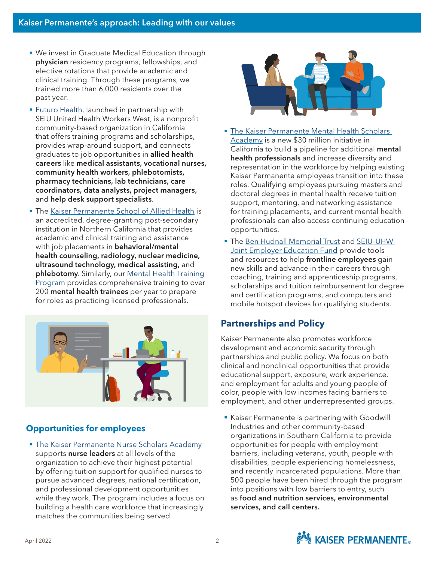- We invest in Graduate Medical Education through physician residency programs, fellowships, and elective rotations that provide academic and clinical training. Through these programs, we trained more than 6,000 residents over the past year.
- [Futuro Health](https://futurohealth.org/), launched in partnership with SEIU United Health Workers West, is a nonprofit community-based organization in California that offers training programs and scholarships, provides wrap-around support, and connects graduates to job opportunities in allied health careers like medical assistants, vocational nurses, community health workers, phlebotomists, pharmacy technicians, lab technicians, care coordinators, data analysts, project managers, and help desk support specialists.
- **The [Kaiser Permanente School of Allied Health](https://kpsahs.edu/careers) is** an accredited, degree-granting post-secondary institution in Northern California that provides academic and clinical training and assistance with job placements in **behavioral/mental** health counseling, radiology, nuclear medicine, ultrasound technology, medical assisting, and phlebotomy. Similarly, our Mental Health Training [Program](https://mentalhealthtraining-ncal.kaiserpermanente.org/) provides comprehensive training to over 200 mental health trainees per year to prepare for roles as practicing licensed professionals.



## **Opportunities for employees**

**• [The Kaiser Permanente Nurse Scholars Academy](https://nursescholars.kaiserpermanente.org/)** supports nurse leaders at all levels of the organization to achieve their highest potential by offering tuition support for qualified nurses to pursue advanced degrees, national certification, and professional development opportunities while they work. The program includes a focus on building a health care workforce that increasingly matches the communities being served



- **The Kaiser Permanente Mental Health Scholars** [Academy](https://kpsahs.edu/ms-counseling-faq-page) is a new \$30 million initiative in California to build a pipeline for additional mental health professionals and increase diversity and representation in the workforce by helping existing Kaiser Permanente employees transition into these roles. Qualifying employees pursuing masters and doctoral degrees in mental health receive tuition support, mentoring, and networking assistance for training placements, and current mental health professionals can also access continuing education opportunities.
- The [Ben Hudnall Memorial Trust](https://bhmt.org/) and SEIU-UHW [Joint Employer Education Fund](https://theedfund.org/) provide tools and resources to help frontline employees gain new skills and advance in their careers through coaching, training and apprenticeship programs, scholarships and tuition reimbursement for degree and certification programs, and computers and mobile hotspot devices for qualifying students.

# **Partnerships and Policy**

Kaiser Permanente also promotes workforce development and economic security through partnerships and public policy. We focus on both clinical and nonclinical opportunities that provide educational support, exposure, work experience, and employment for adults and young people of color, people with low incomes facing barriers to employment, and other underrepresented groups.

■ Kaiser Permanente is partnering with Goodwill Industries and other community-based organizations in Southern California to provide opportunities for people with employment barriers, including veterans, youth, people with disabilities, people experiencing homelessness, and recently incarcerated populations. More than 500 people have been hired through the program into positions with low barriers to entry, such as food and nutrition services, environmental services, and call centers.